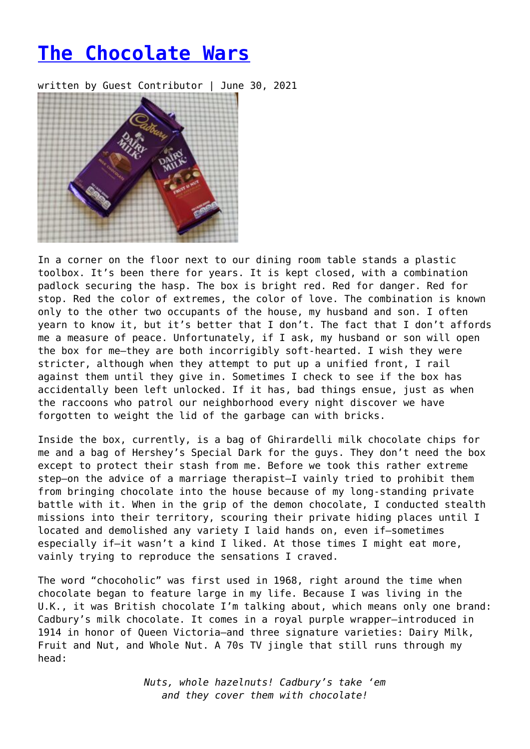## **[The Chocolate Wars](https://entropymag.org/the-chocolate-wars/)**

written by Guest Contributor | June 30, 2021



In a corner on the floor next to our dining room table stands a plastic toolbox. It's been there for years. It is kept closed, with a combination padlock securing the hasp. The box is bright red. Red for danger. Red for stop. Red the color of extremes, the color of love. The combination is known only to the other two occupants of the house, my husband and son. I often yearn to know it, but it's better that I don't. The fact that I don't affords me a measure of peace. Unfortunately, if I ask, my husband or son will open the box for me—they are both incorrigibly soft-hearted. I wish they were stricter, although when they attempt to put up a unified front, I rail against them until they give in. Sometimes I check to see if the box has accidentally been left unlocked. If it has, bad things ensue, just as when the raccoons who patrol our neighborhood every night discover we have forgotten to weight the lid of the garbage can with bricks.

Inside the box, currently, is a bag of Ghirardelli milk chocolate chips for me and a bag of Hershey's Special Dark for the guys. They don't need the box except to protect their stash from me. Before we took this rather extreme step—on the advice of a marriage therapist—I vainly tried to prohibit them from bringing chocolate into the house because of my long-standing private battle with it. When in the grip of the demon chocolate, I conducted stealth missions into their territory, scouring their private hiding places until I located and demolished any variety I laid hands on, even if—sometimes especially if—it wasn't a kind I liked. At those times I might eat more, vainly trying to reproduce the sensations I craved.

The word "chocoholic" was first used in 1968, right around the time when chocolate began to feature large in my life. Because I was living in the U.K., it was British chocolate I'm talking about, which means only one brand: Cadbury's milk chocolate. It comes in a royal purple wrapper—introduced in 1914 in honor of Queen Victoria—and three signature varieties: Dairy Milk, Fruit and Nut, and Whole Nut. A 70s TV jingle that still runs through my head:

> *Nuts, whole hazelnuts! Cadbury's take 'em and they cover them with chocolate!*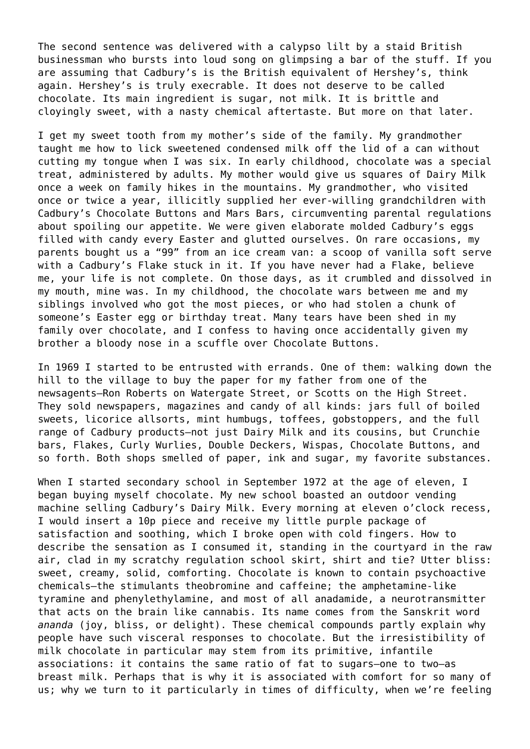The second sentence was delivered with a calypso lilt by a staid British businessman who bursts into loud song on glimpsing a bar of the stuff. If you are assuming that Cadbury's is the British equivalent of Hershey's, think again. Hershey's is truly execrable. It does not deserve to be called chocolate. Its main ingredient is sugar, not milk. It is brittle and cloyingly sweet, with a nasty chemical aftertaste. But more on that later.

I get my sweet tooth from my mother's side of the family. My grandmother taught me how to lick sweetened condensed milk off the lid of a can without cutting my tongue when I was six. In early childhood, chocolate was a special treat, administered by adults. My mother would give us squares of Dairy Milk once a week on family hikes in the mountains. My grandmother, who visited once or twice a year, illicitly supplied her ever-willing grandchildren with Cadbury's Chocolate Buttons and Mars Bars, circumventing parental regulations about spoiling our appetite. We were given elaborate molded Cadbury's eggs filled with candy every Easter and glutted ourselves. On rare occasions, my parents bought us a "99" from an ice cream van: a scoop of vanilla soft serve with a Cadbury's Flake stuck in it. If you have never had a Flake, believe me, your life is not complete. On those days, as it crumbled and dissolved in my mouth, mine was. In my childhood, the chocolate wars between me and my siblings involved who got the most pieces, or who had stolen a chunk of someone's Easter egg or birthday treat. Many tears have been shed in my family over chocolate, and I confess to having once accidentally given my brother a bloody nose in a scuffle over Chocolate Buttons.

In 1969 I started to be entrusted with errands. One of them: walking down the hill to the village to buy the paper for my father from one of the newsagents—Ron Roberts on Watergate Street, or Scotts on the High Street. They sold newspapers, magazines and candy of all kinds: jars full of boiled sweets, licorice allsorts, mint humbugs, toffees, gobstoppers, and the full range of Cadbury products—not just Dairy Milk and its cousins, but Crunchie bars, Flakes, Curly Wurlies, Double Deckers, Wispas, Chocolate Buttons, and so forth. Both shops smelled of paper, ink and sugar, my favorite substances.

When I started secondary school in September 1972 at the age of eleven, I began buying myself chocolate. My new school boasted an outdoor vending machine selling Cadbury's Dairy Milk. Every morning at eleven o'clock recess, I would insert a 10p piece and receive my little purple package of satisfaction and soothing, which I broke open with cold fingers. How to describe the sensation as I consumed it, standing in the courtyard in the raw air, clad in my scratchy regulation school skirt, shirt and tie? Utter bliss: sweet, creamy, solid, comforting. Chocolate is known to contain psychoactive chemicals—the stimulants theobromine and caffeine; the amphetamine-like tyramine and phenylethylamine, and most of all anadamide, a neurotransmitter that acts on the brain like cannabis. Its name comes from the Sanskrit word *ananda* (joy, bliss, or delight). These chemical compounds partly explain why people have such visceral responses to chocolate. But the irresistibility of milk chocolate in particular may stem from its primitive, infantile associations: it contains the same ratio of fat to sugars—one to two—as breast milk. Perhaps that is why it is associated with comfort for so many of us; why we turn to it particularly in times of difficulty, when we're feeling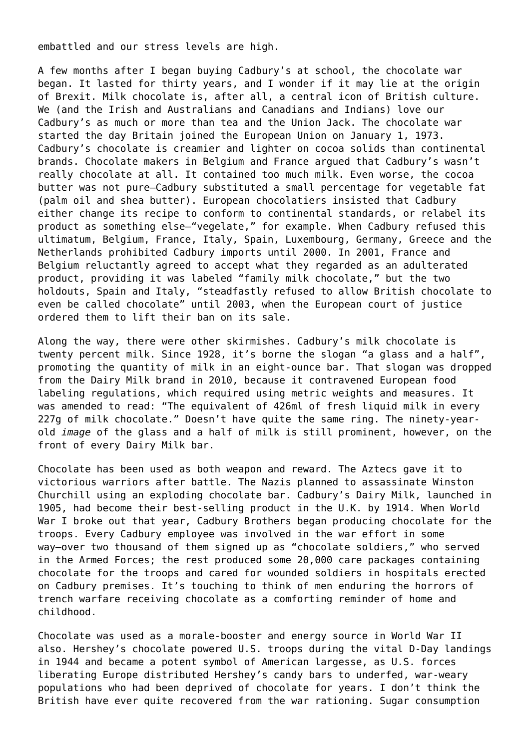embattled and our stress levels are high.

A few months after I began buying Cadbury's at school, the chocolate war began. It lasted for thirty years, and I wonder if it may lie at the origin of Brexit. Milk chocolate is, after all, a central icon of British culture. We (and the Irish and Australians and Canadians and Indians) love our Cadbury's as much or more than tea and the Union Jack. The chocolate war started the day Britain joined the European Union on January 1, 1973. Cadbury's chocolate is creamier and lighter on cocoa solids than continental brands. Chocolate makers in Belgium and France argued that Cadbury's wasn't really chocolate at all. It contained too much milk. Even worse, the cocoa butter was not pure—Cadbury substituted a small percentage for vegetable fat (palm oil and shea butter). European chocolatiers insisted that Cadbury either change its recipe to conform to continental standards, or relabel its product as something else—"vegelate," for example. When Cadbury refused this ultimatum, Belgium, France, Italy, Spain, Luxembourg, Germany, Greece and the Netherlands prohibited Cadbury imports until 2000. In 2001, France and Belgium reluctantly agreed to accept what they regarded as an adulterated product, providing it was labeled "family milk chocolate," but the two holdouts, Spain and Italy, "steadfastly refused to allow British chocolate to even be called chocolate" until 2003, when the European court of justice ordered them to lift their ban on its sale.

Along the way, there were other skirmishes. Cadbury's milk chocolate is twenty percent milk. Since 1928, it's borne the slogan "a glass and a half", promoting the quantity of milk in an eight-ounce bar. That slogan was dropped from the Dairy Milk brand in 2010, because it contravened European food labeling regulations, which required using metric weights and measures. It was amended to read: "The equivalent of 426ml of fresh liquid milk in every 227g of milk chocolate." Doesn't have quite the same ring. The ninety-yearold *image* of the glass and a half of milk is still prominent, however, on the front of every Dairy Milk bar.

Chocolate has been used as both weapon and reward. The Aztecs gave it to victorious warriors after battle. The Nazis planned to assassinate Winston Churchill using an exploding chocolate bar. Cadbury's Dairy Milk, launched in 1905, had become their best-selling product in the U.K. by 1914. When World War I broke out that year, Cadbury Brothers began producing chocolate for the troops. Every Cadbury employee was involved in the war effort in some way—over two thousand of them signed up as "chocolate soldiers," who served in the Armed Forces; the rest produced some 20,000 care packages containing chocolate for the troops and cared for wounded soldiers in hospitals erected on Cadbury premises. It's touching to think of men enduring the horrors of trench warfare receiving chocolate as a comforting reminder of home and childhood.

Chocolate was used as a morale-booster and energy source in World War II also. Hershey's chocolate powered U.S. troops during the vital D-Day landings in 1944 and became a potent symbol of American largesse, as U.S. forces liberating Europe distributed Hershey's candy bars to underfed, war-weary populations who had been deprived of chocolate for years. I don't think the British have ever quite recovered from the war rationing. Sugar consumption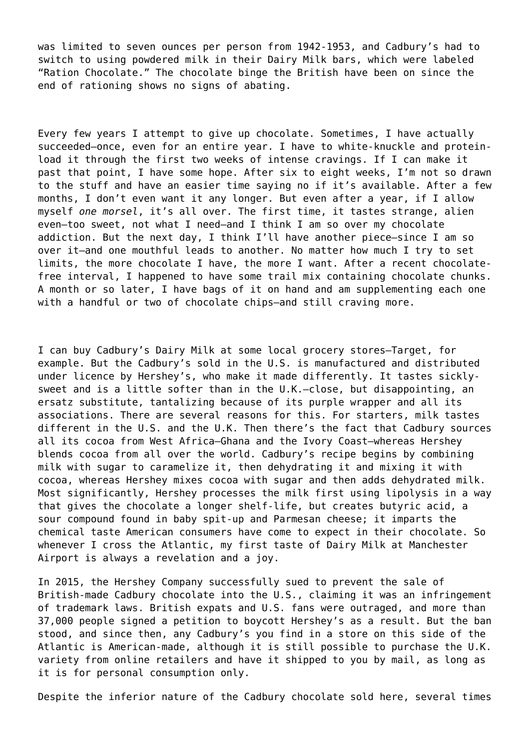was limited to seven ounces per person from 1942-1953, and Cadbury's had to switch to using powdered milk in their Dairy Milk bars, which were labeled "Ration Chocolate." The chocolate binge the British have been on since the end of rationing shows no signs of abating.

Every few years I attempt to give up chocolate. Sometimes, I have actually succeeded—once, even for an entire year. I have to white-knuckle and proteinload it through the first two weeks of intense cravings. If I can make it past that point, I have some hope. After six to eight weeks, I'm not so drawn to the stuff and have an easier time saying no if it's available. After a few months, I don't even want it any longer. But even after a year, if I allow myself *one morsel*, it's all over. The first time, it tastes strange, alien even—too sweet, not what I need—and I think I am so over my chocolate addiction. But the next day, I think I'll have another piece—since I am so over it—and one mouthful leads to another. No matter how much I try to set limits, the more chocolate I have, the more I want. After a recent chocolatefree interval, I happened to have some trail mix containing chocolate chunks. A month or so later, I have bags of it on hand and am supplementing each one with a handful or two of chocolate chips—and still craving more.

I can buy Cadbury's Dairy Milk at some local grocery stores—Target, for example. But the Cadbury's sold in the U.S. is manufactured and distributed under licence by Hershey's, who make it made differently. It tastes sicklysweet and is a little softer than in the U.K.—close, but disappointing, an ersatz substitute, tantalizing because of its purple wrapper and all its associations. There are several reasons for this. For starters, milk tastes different in the U.S. and the U.K. Then there's the fact that Cadbury sources all its cocoa from West Africa—Ghana and the Ivory Coast—whereas Hershey blends cocoa from all over the world. Cadbury's recipe begins by combining milk with sugar to caramelize it, then dehydrating it and mixing it with cocoa, whereas Hershey mixes cocoa with sugar and then adds dehydrated milk. Most significantly, Hershey processes the milk first using lipolysis in a way that gives the chocolate a longer shelf-life, but creates butyric acid, a sour compound found in baby spit-up and Parmesan cheese; it imparts the chemical taste American consumers have come to expect in their chocolate. So whenever I cross the Atlantic, my first taste of Dairy Milk at Manchester Airport is always a revelation and a joy.

In 2015, the Hershey Company successfully sued to prevent the sale of British-made Cadbury chocolate into the U.S., claiming it was an infringement of trademark laws. British expats and U.S. fans were outraged, and more than 37,000 people signed a petition to boycott Hershey's as a result. But the ban stood, and since then, any Cadbury's you find in a store on this side of the Atlantic is American-made, although it is still possible to purchase the U.K. variety from online retailers and have it shipped to you by mail, as long as it is for personal consumption only.

Despite the inferior nature of the Cadbury chocolate sold here, several times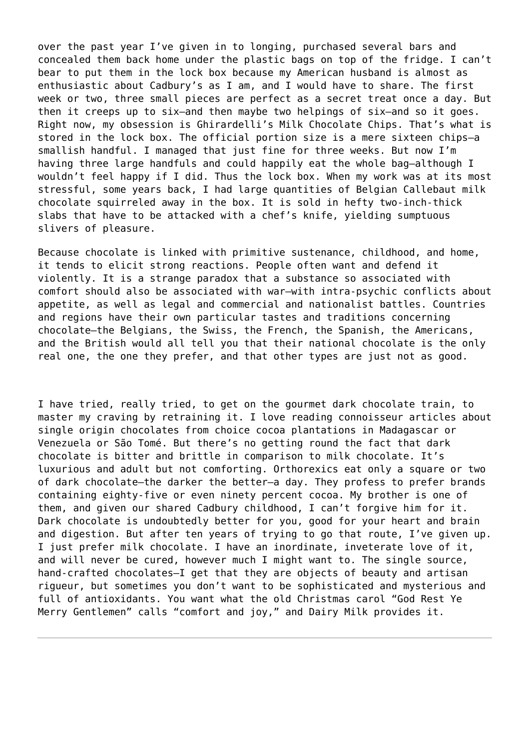over the past year I've given in to longing, purchased several bars and concealed them back home under the plastic bags on top of the fridge. I can't bear to put them in the lock box because my American husband is almost as enthusiastic about Cadbury's as I am, and I would have to share. The first week or two, three small pieces are perfect as a secret treat once a day. But then it creeps up to six—and then maybe two helpings of six—and so it goes. Right now, my obsession is Ghirardelli's Milk Chocolate Chips. That's what is stored in the lock box. The official portion size is a mere sixteen chips—a smallish handful. I managed that just fine for three weeks. But now I'm having three large handfuls and could happily eat the whole bag-although I wouldn't feel happy if I did. Thus the lock box. When my work was at its most stressful, some years back, I had large quantities of Belgian Callebaut milk chocolate squirreled away in the box. It is sold in hefty two-inch-thick slabs that have to be attacked with a chef's knife, yielding sumptuous slivers of pleasure.

Because chocolate is linked with primitive sustenance, childhood, and home, it tends to elicit strong reactions. People often want and defend it violently. It is a strange paradox that a substance so associated with comfort should also be associated with war—with intra-psychic conflicts about appetite, as well as legal and commercial and nationalist battles. Countries and regions have their own particular tastes and traditions concerning chocolate—the Belgians, the Swiss, the French, the Spanish, the Americans, and the British would all tell you that their national chocolate is the only real one, the one they prefer, and that other types are just not as good.

I have tried, really tried, to get on the gourmet dark chocolate train, to master my craving by retraining it. I love reading connoisseur articles about single origin chocolates from choice cocoa plantations in Madagascar or Venezuela or São Tomé. But there's no getting round the fact that dark chocolate is bitter and brittle in comparison to milk chocolate. It's luxurious and adult but not comforting. Orthorexics eat only a square or two of dark chocolate—the darker the better—a day. They profess to prefer brands containing eighty-five or even ninety percent cocoa. My brother is one of them, and given our shared Cadbury childhood, I can't forgive him for it. Dark chocolate is undoubtedly better for you, good for your heart and brain and digestion. But after ten years of trying to go that route, I've given up. I just prefer milk chocolate. I have an inordinate, inveterate love of it, and will never be cured, however much I might want to. The single source, hand-crafted chocolates—I get that they are objects of beauty and artisan rigueur, but sometimes you don't want to be sophisticated and mysterious and full of antioxidants. You want what the old Christmas carol "God Rest Ye Merry Gentlemen" calls "comfort and joy," and Dairy Milk provides it.